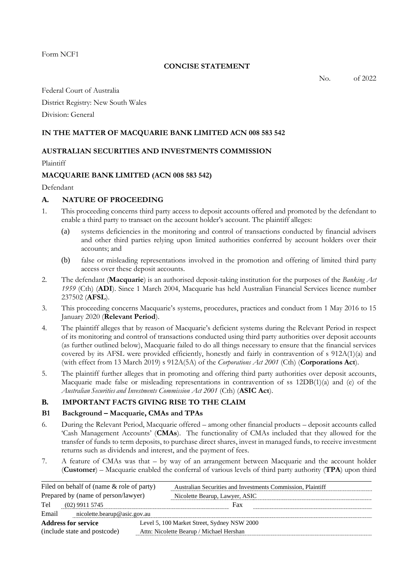Form NCF1

## **CONCISE STATEMENT**

No. of 2022

Federal Court of Australia District Registry: New South Wales

Division: General

## **IN THE MATTER OF MACQUARIE BANK LIMITED ACN 008 583 542**

## **AUSTRALIAN SECURITIES AND INVESTMENTS COMMISSION**

Plaintiff

## **MACQUARIE BANK LIMITED (ACN 008 583 542)**

Defendant

## **A. NATURE OF PROCEEDING**

- 1. This proceeding concerns third party access to deposit accounts offered and promoted by the defendant to enable a third party to transact on the account holder's account. The plaintiff alleges:
	- (a) systems deficiencies in the monitoring and control of transactions conducted by financial advisers and other third parties relying upon limited authorities conferred by account holders over their accounts; and
	- (b) false or misleading representations involved in the promotion and offering of limited third party access over these deposit accounts.
- 2. The defendant (**Macquarie**) is an authorised deposit-taking institution for the purposes of the *Banking Act 1959* (Cth) (**ADI**). Since 1 March 2004, Macquarie has held Australian Financial Services licence number 237502 (**AFSL**).
- 3. This proceeding concerns Macquarie's systems, procedures, practices and conduct from 1 May 2016 to 15 January 2020 (**Relevant Period**).
- 4. The plaintiff alleges that by reason of Macquarie's deficient systems during the Relevant Period in respect of its monitoring and control of transactions conducted using third party authorities over deposit accounts (as further outlined below), Macquarie failed to do all things necessary to ensure that the financial services covered by its AFSL were provided efficiently, honestly and fairly in contravention of s 912A(1)(a) and (with effect from 13 March 2019) s 912A(5A) of the *Corporations Act 2001* (Cth) (**Corporations Act**).
- 5. The plaintiff further alleges that in promoting and offering third party authorities over deposit accounts, Macquarie made false or misleading representations in contravention of ss  $12DB(1)(a)$  and (e) of the *Australian Securities and Investments Commission Act 2001* (Cth) (**ASIC Act**).

# **B. IMPORTANT FACTS GIVING RISE TO THE CLAIM**

## **B1 Background – Macquarie, CMAs and TPAs**

- 6. During the Relevant Period, Macquarie offered among other financial products deposit accounts called 'Cash Management Accounts' (**CMAs**). The functionality of CMAs included that they allowed for the transfer of funds to term deposits, to purchase direct shares, invest in managed funds, to receive investment returns such as dividends and interest, and the payment of fees.
- 7. A feature of CMAs was that by way of an arrangement between Macquarie and the account holder (**Customer**) – Macquarie enabled the conferral of various levels of third party authority (**TPA**) upon third

| Filed on behalf of (name $\&$ role of party) | Australian Securities and Investments Commission, Plaintiff |
|----------------------------------------------|-------------------------------------------------------------|
| Prepared by (name of person/lawyer)          | Nicolette Bearup, Lawyer, ASIC                              |
| Tel<br>$(02)$ 9911 5745                      | Fax                                                         |
| Email<br>nicolette.bearup@asic.gov.au        |                                                             |
| <b>Address for service</b>                   | Level 5, 100 Market Street, Sydney NSW 2000                 |
| (include state and postcode)                 | Attn: Nicolette Bearup / Michael Hershan                    |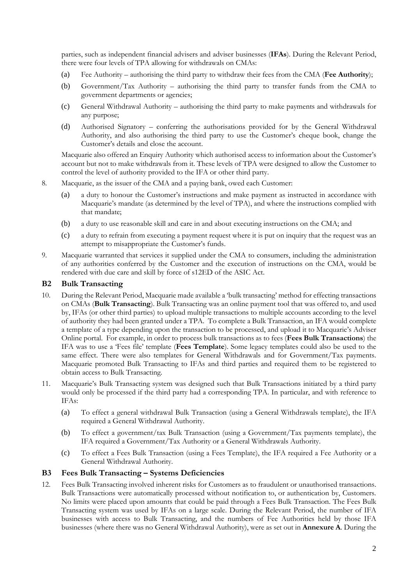parties, such as independent financial advisers and adviser businesses (**IFAs**). During the Relevant Period, there were four levels of TPA allowing for withdrawals on CMAs:

- (a) Fee Authority authorising the third party to withdraw their fees from the CMA (**Fee Authority**);
- (b) Government/Tax Authority authorising the third party to transfer funds from the CMA to government departments or agencies;
- (c) General Withdrawal Authority authorising the third party to make payments and withdrawals for any purpose;
- (d) Authorised Signatory conferring the authorisations provided for by the General Withdrawal Authority, and also authorising the third party to use the Customer's cheque book, change the Customer's details and close the account.

Macquarie also offered an Enquiry Authority which authorised access to information about the Customer's account but not to make withdrawals from it. These levels of TPA were designed to allow the Customer to control the level of authority provided to the IFA or other third party.

- 8. Macquarie, as the issuer of the CMA and a paying bank, owed each Customer:
	- (a) a duty to honour the Customer's instructions and make payment as instructed in accordance with Macquarie's mandate (as determined by the level of TPA), and where the instructions complied with that mandate;
	- (b) a duty to use reasonable skill and care in and about executing instructions on the CMA; and
	- (c) a duty to refrain from executing a payment request where it is put on inquiry that the request was an attempt to misappropriate the Customer's funds.
- 9. Macquarie warranted that services it supplied under the CMA to consumers, including the administration of any authorities conferred by the Customer and the execution of instructions on the CMA, would be rendered with due care and skill by force of s12ED of the ASIC Act.

## **B2 Bulk Transacting**

- 10. During the Relevant Period, Macquarie made available a 'bulk transacting' method for effecting transactions on CMAs (**Bulk Transacting**). Bulk Transacting was an online payment tool that was offered to, and used by, IFAs (or other third parties) to upload multiple transactions to multiple accounts according to the level of authority they had been granted under a TPA. To complete a Bulk Transaction, an IFA would complete a template of a type depending upon the transaction to be processed, and upload it to Macquarie's Adviser Online portal. For example, in order to process bulk transactions as to fees (**Fees Bulk Transactions**) the IFA was to use a 'Fees file' template (**Fees Template**). Some legacy templates could also be used to the same effect. There were also templates for General Withdrawals and for Government/Tax payments. Macquarie promoted Bulk Transacting to IFAs and third parties and required them to be registered to obtain access to Bulk Transacting.
- 11. Macquarie's Bulk Transacting system was designed such that Bulk Transactions initiated by a third party would only be processed if the third party had a corresponding TPA. In particular, and with reference to IFAs:
	- (a) To effect a general withdrawal Bulk Transaction (using a General Withdrawals template), the IFA required a General Withdrawal Authority.
	- (b) To effect a government/tax Bulk Transaction (using a Government/Tax payments template), the IFA required a Government/Tax Authority or a General Withdrawals Authority.
	- (c) To effect a Fees Bulk Transaction (using a Fees Template), the IFA required a Fee Authority or a General Withdrawal Authority.

## **B3 Fees Bulk Transacting – Systems Deficiencies**

12. Fees Bulk Transacting involved inherent risks for Customers as to fraudulent or unauthorised transactions. Bulk Transactions were automatically processed without notification to, or authentication by, Customers. No limits were placed upon amounts that could be paid through a Fees Bulk Transaction. The Fees Bulk Transacting system was used by IFAs on a large scale. During the Relevant Period, the number of IFA businesses with access to Bulk Transacting, and the numbers of Fee Authorities held by those IFA businesses (where there was no General Withdrawal Authority), were as set out in **Annexure A**. During the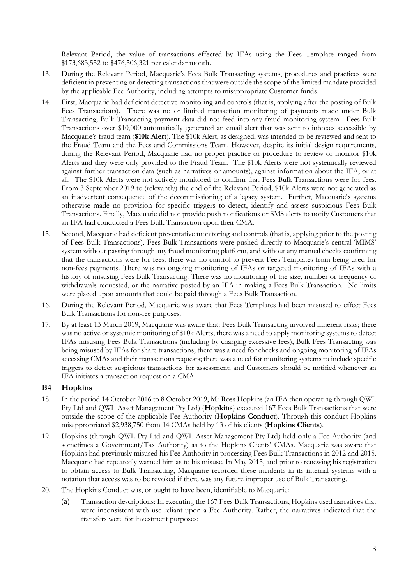Relevant Period, the value of transactions effected by IFAs using the Fees Template ranged from \$173,683,552 to \$476,506,321 per calendar month.

- 13. During the Relevant Period, Macquarie's Fees Bulk Transacting systems, procedures and practices were deficient in preventing or detecting transactions that were outside the scope of the limited mandate provided by the applicable Fee Authority, including attempts to misappropriate Customer funds.
- 14. First, Macquarie had deficient detective monitoring and controls (that is, applying after the posting of Bulk Fees Transactions). There was no or limited transaction monitoring of payments made under Bulk Transacting; Bulk Transacting payment data did not feed into any fraud monitoring system. Fees Bulk Transactions over \$10,000 automatically generated an email alert that was sent to inboxes accessible by Macquarie's fraud team (**\$10k Alert**). The \$10k Alert, as designed, was intended to be reviewed and sent to the Fraud Team and the Fees and Commissions Team. However, despite its initial design requirements, during the Relevant Period, Macquarie had no proper practice or procedure to review or monitor \$10k Alerts and they were only provided to the Fraud Team. The \$10k Alerts were not systemically reviewed against further transaction data (such as narratives or amounts), against information about the IFA, or at all. The \$10k Alerts were not actively monitored to confirm that Fees Bulk Transactions were for fees. From 3 September 2019 to (relevantly) the end of the Relevant Period, \$10k Alerts were not generated as an inadvertent consequence of the decommissioning of a legacy system. Further, Macquarie's systems otherwise made no provision for specific triggers to detect, identify and assess suspicious Fees Bulk Transactions. Finally, Macquarie did not provide push notifications or SMS alerts to notify Customers that an IFA had conducted a Fees Bulk Transaction upon their CMA.
- 15. Second, Macquarie had deficient preventative monitoring and controls (that is, applying prior to the posting of Fees Bulk Transactions). Fees Bulk Transactions were pushed directly to Macquarie's central 'MIMS' system without passing through any fraud monitoring platform, and without any manual checks confirming that the transactions were for fees; there was no control to prevent Fees Templates from being used for non-fees payments. There was no ongoing monitoring of IFAs or targeted monitoring of IFAs with a history of misusing Fees Bulk Transacting. There was no monitoring of the size, number or frequency of withdrawals requested, or the narrative posted by an IFA in making a Fees Bulk Transaction. No limits were placed upon amounts that could be paid through a Fees Bulk Transaction.
- 16. During the Relevant Period, Macquarie was aware that Fees Templates had been misused to effect Fees Bulk Transactions for non-fee purposes.
- 17. By at least 13 March 2019, Macquarie was aware that: Fees Bulk Transacting involved inherent risks; there was no active or systemic monitoring of \$10k Alerts; there was a need to apply monitoring systems to detect IFAs misusing Fees Bulk Transactions (including by charging excessive fees); Bulk Fees Transacting was being misused by IFAs for share transactions; there was a need for checks and ongoing monitoring of IFAs accessing CMAs and their transactions requests; there was a need for monitoring systems to include specific triggers to detect suspicious transactions for assessment; and Customers should be notified whenever an IFA initiates a transaction request on a CMA.

# **B4 Hopkins**

- 18. In the period 14 October 2016 to 8 October 2019, Mr Ross Hopkins (an IFA then operating through QWL Pty Ltd and QWL Asset Management Pty Ltd) (**Hopkins**) executed 167 Fees Bulk Transactions that were outside the scope of the applicable Fee Authority (**Hopkins Conduct**). Through this conduct Hopkins misappropriated \$2,938,750 from 14 CMAs held by 13 of his clients (**Hopkins Clients**).
- 19. Hopkins (through QWL Pty Ltd and QWL Asset Management Pty Ltd) held only a Fee Authority (and sometimes a Government/Tax Authority) as to the Hopkins Clients' CMAs. Macquarie was aware that Hopkins had previously misused his Fee Authority in processing Fees Bulk Transactions in 2012 and 2015. Macquarie had repeatedly warned him as to his misuse. In May 2015, and prior to renewing his registration to obtain access to Bulk Transacting, Macquarie recorded these incidents in its internal systems with a notation that access was to be revoked if there was any future improper use of Bulk Transacting.
- 20. The Hopkins Conduct was, or ought to have been, identifiable to Macquarie:
	- (a) Transaction descriptions: In executing the 167 Fees Bulk Transactions, Hopkins used narratives that were inconsistent with use reliant upon a Fee Authority. Rather, the narratives indicated that the transfers were for investment purposes;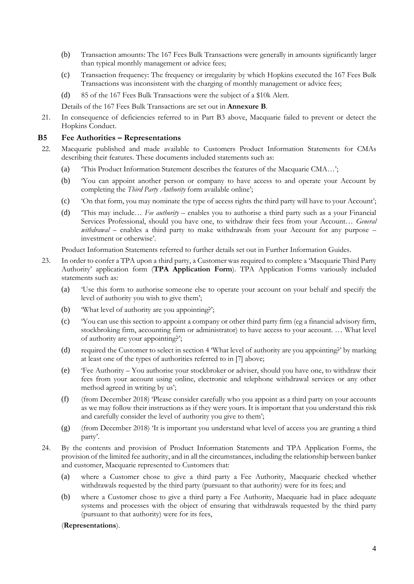- (b) Transaction amounts: The 167 Fees Bulk Transactions were generally in amounts significantly larger than typical monthly management or advice fees;
- (c) Transaction frequency: The frequency or irregularity by which Hopkins executed the 167 Fees Bulk Transactions was inconsistent with the charging of monthly management or advice fees;
- (d) 85 of the 167 Fees Bulk Transactions were the subject of a \$10k Alert.
- Details of the 167 Fees Bulk Transactions are set out in **Annexure B**.
- 21. In consequence of deficiencies referred to in Part B3 above, Macquarie failed to prevent or detect the Hopkins Conduct.

#### **B5 Fee Authorities – Representations**

- 22. Macquarie published and made available to Customers Product Information Statements for CMAs describing their features. These documents included statements such as:
	- (a) 'This Product Information Statement describes the features of the Macquarie CMA…';
	- (b) 'You can appoint another person or company to have access to and operate your Account by completing the *Third Party Authority* form available online';
	- (c) 'On that form, you may nominate the type of access rights the third party will have to your Account';
	- (d) 'This may include… *Fee authority*  enables you to authorise a third party such as a your Financial Services Professional, should you have one, to withdraw their fees from your Account… *General withdrawal* – enables a third party to make withdrawals from your Account for any purpose – investment or otherwise'.

Product Information Statements referred to further details set out in Further Information Guides.

- 23. In order to confer a TPA upon a third party, a Customer was required to complete a 'Macquarie Third Party Authority' application form (**TPA Application Form**). TPA Application Forms variously included statements such as:
	- (a) 'Use this form to authorise someone else to operate your account on your behalf and specify the level of authority you wish to give them';
	- (b) 'What level of authority are you appointing?';
	- (c) 'You can use this section to appoint a company or other third party firm (eg a financial advisory firm, stockbroking firm, accounting firm or administrator) to have access to your account. … What level of authority are your appointing?';
	- (d) required the Customer to select in section 4 'What level of authority are you appointing?' by marking at least one of the types of authorities referred to in [7] above;
	- (e) 'Fee Authority You authorise your stockbroker or adviser, should you have one, to withdraw their fees from your account using online, electronic and telephone withdrawal services or any other method agreed in writing by us';
	- (f) (from December 2018) 'Please consider carefully who you appoint as a third party on your accounts as we may follow their instructions as if they were yours. It is important that you understand this risk and carefully consider the level of authority you give to them';
	- (g) (from December 2018) 'It is important you understand what level of access you are granting a third party'.
- 24. By the contents and provision of Product Information Statements and TPA Application Forms, the provision of the limited fee authority, and in all the circumstances, including the relationship between banker and customer, Macquarie represented to Customers that:
	- (a) where a Customer chose to give a third party a Fee Authority, Macquarie checked whether withdrawals requested by the third party (pursuant to that authority) were for its fees; and
	- (b) where a Customer chose to give a third party a Fee Authority, Macquarie had in place adequate systems and processes with the object of ensuring that withdrawals requested by the third party (pursuant to that authority) were for its fees,

#### (**Representations**).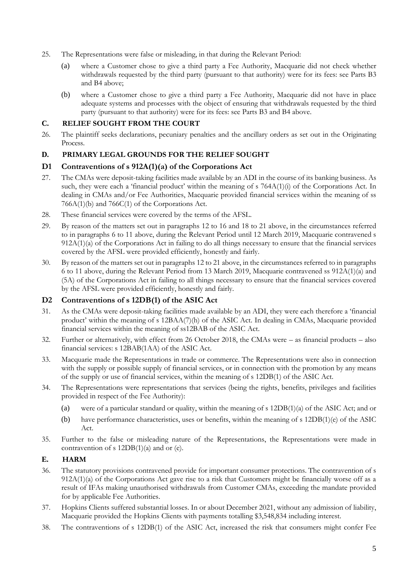- 25. The Representations were false or misleading, in that during the Relevant Period:
	- (a) where a Customer chose to give a third party a Fee Authority, Macquarie did not check whether withdrawals requested by the third party (pursuant to that authority) were for its fees: see Parts B3 and B4 above;
	- (b) where a Customer chose to give a third party a Fee Authority, Macquarie did not have in place adequate systems and processes with the object of ensuring that withdrawals requested by the third party (pursuant to that authority) were for its fees: see Parts B3 and B4 above.

# **C. RELIEF SOUGHT FROM THE COURT**

26. The plaintiff seeks declarations, pecuniary penalties and the ancillary orders as set out in the Originating Process.

# **D. PRIMARY LEGAL GROUNDS FOR THE RELIEF SOUGHT**

## **D1 Contraventions of s 912A(1)(a) of the Corporations Act**

- 27. The CMAs were deposit-taking facilities made available by an ADI in the course of its banking business. As such, they were each a 'financial product' within the meaning of s 764A(1)(i) of the Corporations Act. In dealing in CMAs and/or Fee Authorities, Macquarie provided financial services within the meaning of ss 766A(1)(b) and 766C(1) of the Corporations Act.
- 28. These financial services were covered by the terms of the AFSL.
- 29. By reason of the matters set out in paragraphs 12 to 16 and 18 to 21 above, in the circumstances referred to in paragraphs 6 to 11 above, during the Relevant Period until 12 March 2019, Macquarie contravened s 912A(1)(a) of the Corporations Act in failing to do all things necessary to ensure that the financial services covered by the AFSL were provided efficiently, honestly and fairly.
- 30. By reason of the matters set out in paragraphs 12 to 21 above, in the circumstances referred to in paragraphs 6 to 11 above, during the Relevant Period from 13 March 2019, Macquarie contravened ss 912A(1)(a) and (5A) of the Corporations Act in failing to all things necessary to ensure that the financial services covered by the AFSL were provided efficiently, honestly and fairly.

# **D2 Contraventions of s 12DB(1) of the ASIC Act**

- 31. As the CMAs were deposit-taking facilities made available by an ADI, they were each therefore a 'financial product' within the meaning of s 12BAA(7)(h) of the ASIC Act. In dealing in CMAs, Macquarie provided financial services within the meaning of ss12BAB of the ASIC Act.
- 32. Further or alternatively, with effect from 26 October 2018, the CMAs were as financial products also financial services: s 12BAB(1AA) of the ASIC Act.
- 33. Macquarie made the Representations in trade or commerce. The Representations were also in connection with the supply or possible supply of financial services, or in connection with the promotion by any means of the supply or use of financial services, within the meaning of s 12DB(1) of the ASIC Act.
- 34. The Representations were representations that services (being the rights, benefits, privileges and facilities provided in respect of the Fee Authority):
	- (a) were of a particular standard or quality, within the meaning of s 12DB(1)(a) of the ASIC Act; and or
	- (b) have performance characteristics, uses or benefits, within the meaning of s 12DB(1)(e) of the ASIC Act.
- 35. Further to the false or misleading nature of the Representations, the Representations were made in contravention of s  $12DB(1)(a)$  and or (e).

## **E. HARM**

- 36. The statutory provisions contravened provide for important consumer protections. The contravention of s 912A(1)(a) of the Corporations Act gave rise to a risk that Customers might be financially worse off as a result of IFAs making unauthorised withdrawals from Customer CMAs, exceeding the mandate provided for by applicable Fee Authorities.
- 37. Hopkins Clients suffered substantial losses. In or about December 2021, without any admission of liability, Macquarie provided the Hopkins Clients with payments totalling \$3,548,834 including interest.
- 38. The contraventions of s 12DB(1) of the ASIC Act, increased the risk that consumers might confer Fee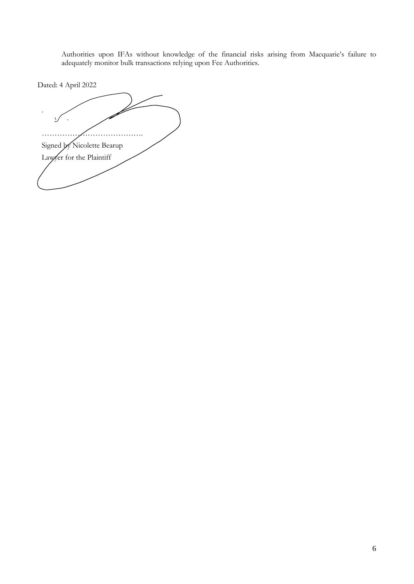Authorities upon IFAs without knowledge of the financial risks arising from Macquarie's failure to adequately monitor bulk transactions relying upon Fee Authorities.

Dated: 4 April 2022

 $\sum$ …………………………………. Signed by Nicolette Bearup Lawyer for the Plaintiff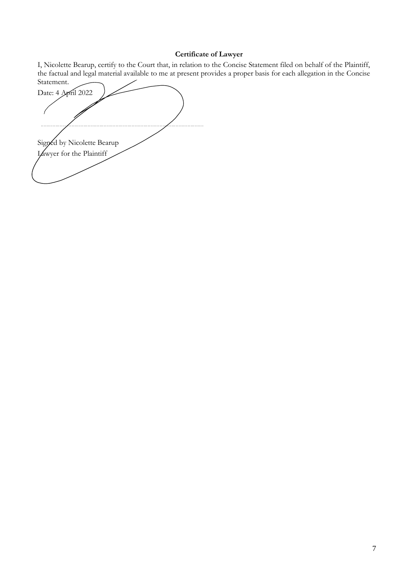## **Certificate of Lawyer**

I, Nicolette Bearup, certify to the Court that, in relation to the Concise Statement filed on behalf of the Plaintiff, the factual and legal material available to me at present provides a proper basis for each allegation in the Concise

Statement. Date: 4 April 2022 . . . . . . . . . . . . Signed by Nicolette Bearup Lawyer for the Plaintiff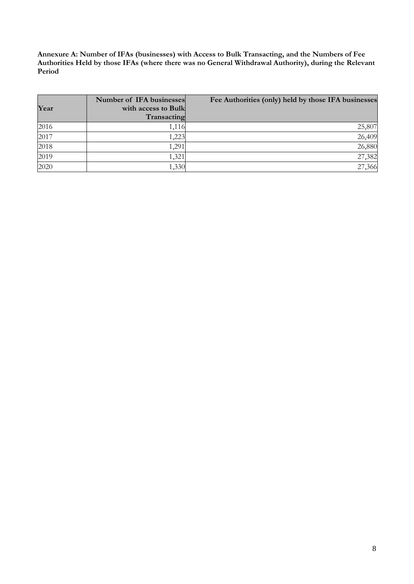**Annexure A: Number of IFAs (businesses) with Access to Bulk Transacting, and the Numbers of Fee Authorities Held by those IFAs (where there was no General Withdrawal Authority), during the Relevant Period**

| Year | Number of IFA businesses<br>with access to Bulk<br>Transacting | Fee Authorities (only) held by those IFA businesses |
|------|----------------------------------------------------------------|-----------------------------------------------------|
| 2016 | 1,116                                                          | 25,807                                              |
| 2017 | 1,223                                                          | 26,409                                              |
| 2018 | 1,291                                                          | 26,880                                              |
| 2019 | 1,321                                                          | 27,382                                              |
| 2020 | 1,330                                                          | 27,366                                              |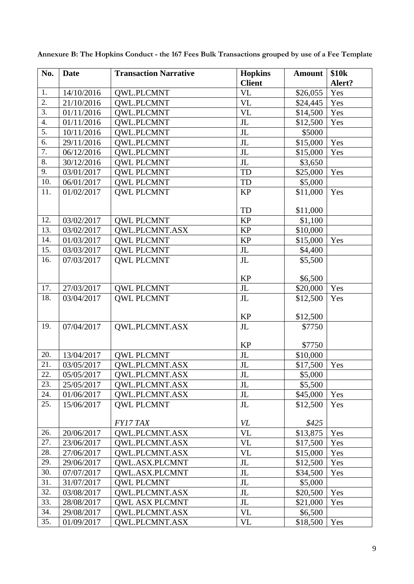| No.              | <b>Date</b> | <b>Transaction Narrative</b> | <b>Hopkins</b><br><b>Client</b> | <b>Amount</b> | \$10 <sub>k</sub><br>Alert? |
|------------------|-------------|------------------------------|---------------------------------|---------------|-----------------------------|
| 1.               | 14/10/2016  | <b>QWL.PLCMNT</b>            | <b>VL</b>                       | \$26,055      | Yes                         |
| $\overline{2}$ . | 21/10/2016  | <b>QWL.PLCMNT</b>            | <b>VL</b>                       | \$24,445      | Yes                         |
| 3.               | 01/11/2016  | <b>QWL.PLCMNT</b>            | <b>VL</b>                       | \$14,500      | Yes                         |
| 4.               | 01/11/2016  | <b>QWL.PLCMNT</b>            | J <sub>L</sub>                  | \$12,500      | Yes                         |
| 5.               | 10/11/2016  | <b>OWL.PLCMNT</b>            | $\rm JL$                        | \$5000        |                             |
| 6.               | 29/11/2016  | <b>QWL.PLCMNT</b>            | J <sub>L</sub>                  | \$15,000      | Yes                         |
| 7.               | 06/12/2016  | <b>QWL.PLCMNT</b>            | $\rm JL$                        | \$15,000      | Yes                         |
| 8.               | 30/12/2016  | <b>QWL PLCMNT</b>            | $\rm JL$                        | \$3,650       |                             |
| 9.               | 03/01/2017  | <b>QWL PLCMNT</b>            | <b>TD</b>                       | \$25,000      | Yes                         |
| 10.              | 06/01/2017  | <b>QWL PLCMNT</b>            | TD                              | \$5,000       |                             |
| 11.              | 01/02/2017  | <b>QWL PLCMNT</b>            | <b>KP</b>                       | \$11,000      | Yes                         |
|                  |             |                              | <b>TD</b>                       | \$11,000      |                             |
| 12.              | 03/02/2017  | <b>QWL PLCMNT</b>            | <b>KP</b>                       | \$1,100       |                             |
| 13.              | 03/02/2017  | QWL.PLCMNT.ASX               | <b>KP</b>                       | \$10,000      |                             |
| 14.              | 01/03/2017  | <b>QWL PLCMNT</b>            | <b>KP</b>                       | \$15,000      | Yes                         |
| 15.              | 03/03/2017  | <b>QWL PLCMNT</b>            | $\rm JL$                        | \$4,400       |                             |
| 16.              | 07/03/2017  | <b>OWL PLCMNT</b>            | J <sub>L</sub>                  | \$5,500       |                             |
|                  |             |                              | <b>KP</b>                       | \$6,500       |                             |
| 17.              | 27/03/2017  | <b>QWL PLCMNT</b>            | J <sub>L</sub>                  | \$20,000      | Yes                         |
| 18.              | 03/04/2017  | <b>QWL PLCMNT</b>            | JL                              | \$12,500      | Yes                         |
|                  |             |                              |                                 |               |                             |
| 19.              |             |                              | <b>KP</b>                       | \$12,500      |                             |
|                  | 07/04/2017  | <b>OWL.PLCMNT.ASX</b>        | J <sub>L</sub>                  | \$7750        |                             |
|                  |             |                              | <b>KP</b>                       | \$7750        |                             |
| 20.              | 13/04/2017  | <b>QWL PLCMNT</b>            | $\rm JL$                        | \$10,000      |                             |
| 21.              | 03/05/2017  | QWL.PLCMNT.ASX               | $\rm JL$                        | \$17,500      | Yes                         |
| 22.              | 05/05/2017  | QWL.PLCMNT.ASX               | J <sub>L</sub>                  | \$5,000       |                             |
| 23.              | 25/05/2017  | QWL.PLCMNT.ASX               | J <sub>L</sub>                  | \$5,500       |                             |
| 24.              | 01/06/2017  | QWL.PLCMNT.ASX               | J <sub>L</sub>                  | \$45,000      | Yes                         |
| 25.              | 15/06/2017  | <b>QWL PLCMNT</b>            | J <sub>L</sub>                  | \$12,500      | Yes                         |
|                  |             | FY17 TAX                     | VL                              | \$425         |                             |
| 26.              | 20/06/2017  | <b>OWL.PLCMNT.ASX</b>        | <b>VL</b>                       | \$13,875      | Yes                         |
| 27.              | 23/06/2017  | <b>QWL.PLCMNT.ASX</b>        | <b>VL</b>                       | \$17,500      | Yes                         |
| 28.              | 27/06/2017  | <b>OWL.PLCMNT.ASX</b>        | <b>VL</b>                       | \$15,000      | Yes                         |
| 29.              | 29/06/2017  | QWL.ASX.PLCMNT               | J <sub>L</sub>                  | \$12,500      | Yes                         |
| 30.              | 07/07/2017  | QWL.ASX.PLCMNT               | JL                              | \$34,500      | Yes                         |
| 31.              | 31/07/2017  | <b>OWL PLCMNT</b>            | J <sub>L</sub>                  | \$5,000       |                             |
| 32.              | 03/08/2017  | <b>QWL.PLCMNT.ASX</b>        | J <sub>L</sub>                  | \$20,500      | Yes                         |
| 33.              | 28/08/2017  | <b>QWL ASX PLCMNT</b>        | J <sub>L</sub>                  | \$21,000      | Yes                         |
| 34.              | 29/08/2017  | <b>OWL.PLCMNT.ASX</b>        | VL                              | \$6,500       |                             |
| 35.              | 01/09/2017  | QWL.PLCMNT.ASX               | <b>VL</b>                       | \$18,500      | Yes                         |

**Annexure B: The Hopkins Conduct - the 167 Fees Bulk Transactions grouped by use of a Fee Template**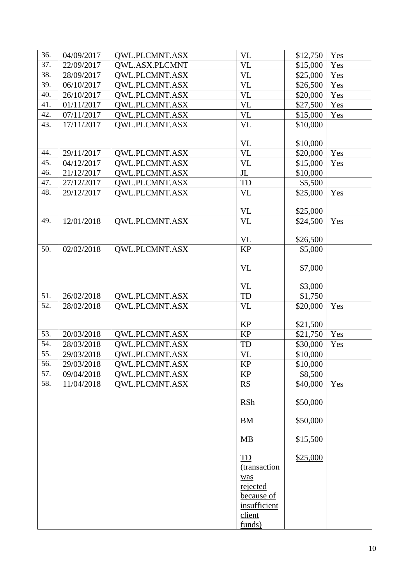| 36. | 04/09/2017 | <b>QWL.PLCMNT.ASX</b> | <b>VL</b>    | \$12,750            | Yes |
|-----|------------|-----------------------|--------------|---------------------|-----|
| 37. | 22/09/2017 | QWL.ASX.PLCMNT        | <b>VL</b>    | \$15,000            | Yes |
| 38. | 28/09/2017 | <b>OWL.PLCMNT.ASX</b> | <b>VL</b>    | \$25,000            | Yes |
| 39. | 06/10/2017 | <b>QWL.PLCMNT.ASX</b> | <b>VL</b>    | \$26,500            | Yes |
| 40. | 26/10/2017 | <b>OWL.PLCMNT.ASX</b> | <b>VL</b>    | \$20,000            | Yes |
| 41. | 01/11/2017 | <b>QWL.PLCMNT.ASX</b> | <b>VL</b>    | \$27,500            | Yes |
| 42. | 07/11/2017 | <b>QWL.PLCMNT.ASX</b> | <b>VL</b>    | \$15,000            | Yes |
| 43. | 17/11/2017 | QWL.PLCMNT.ASX        | <b>VL</b>    | \$10,000            |     |
|     |            |                       |              |                     |     |
|     |            |                       | <b>VL</b>    | \$10,000            |     |
| 44. | 29/11/2017 | QWL.PLCMNT.ASX        | <b>VL</b>    | \$20,000            | Yes |
| 45. | 04/12/2017 | <b>OWL.PLCMNT.ASX</b> | <b>VL</b>    | \$15,000            | Yes |
| 46. | 21/12/2017 | <b>QWL.PLCMNT.ASX</b> | $\rm JL$     | \$10,000            |     |
| 47. | 27/12/2017 | <b>QWL.PLCMNT.ASX</b> | TD           | \$5,500             |     |
| 48. | 29/12/2017 | QWL.PLCMNT.ASX        | <b>VL</b>    | \$25,000            | Yes |
|     |            |                       |              |                     |     |
|     |            |                       | <b>VL</b>    | \$25,000            |     |
| 49. | 12/01/2018 | QWL.PLCMNT.ASX        | <b>VL</b>    | \$24,500            | Yes |
|     |            |                       | <b>VL</b>    |                     |     |
| 50. | 02/02/2018 | QWL.PLCMNT.ASX        | <b>KP</b>    | \$26,500<br>\$5,000 |     |
|     |            |                       |              |                     |     |
|     |            |                       | <b>VL</b>    | \$7,000             |     |
|     |            |                       |              |                     |     |
|     |            |                       | <b>VL</b>    | \$3,000             |     |
| 51. | 26/02/2018 | QWL.PLCMNT.ASX        | <b>TD</b>    | \$1,750             |     |
| 52. | 28/02/2018 | QWL.PLCMNT.ASX        | <b>VL</b>    | \$20,000            | Yes |
|     |            |                       |              |                     |     |
|     |            |                       | <b>KP</b>    | \$21,500            |     |
| 53. | 20/03/2018 | QWL.PLCMNT.ASX        | <b>KP</b>    | \$21,750            | Yes |
| 54. | 28/03/2018 | <b>OWL.PLCMNT.ASX</b> | <b>TD</b>    | \$30,000            | Yes |
| 55. | 29/03/2018 | <b>OWL.PLCMNT.ASX</b> | <b>VL</b>    | \$10,000            |     |
| 56. | 29/03/2018 | QWL.PLCMNT.ASX        | KP           | \$10,000            |     |
| 57. | 09/04/2018 | <b>OWL.PLCMNT.ASX</b> | <b>KP</b>    | \$8,500             |     |
| 58. | 11/04/2018 | QWL.PLCMNT.ASX        | <b>RS</b>    | \$40,000            | Yes |
|     |            |                       |              |                     |     |
|     |            |                       | <b>RSh</b>   | \$50,000            |     |
|     |            |                       | <b>BM</b>    | \$50,000            |     |
|     |            |                       |              |                     |     |
|     |            |                       | <b>MB</b>    | \$15,500            |     |
|     |            |                       |              |                     |     |
|     |            |                       | TD           | \$25,000            |     |
|     |            |                       | (transaction |                     |     |
|     |            |                       | was          |                     |     |
|     |            |                       | rejected     |                     |     |
|     |            |                       | because of   |                     |     |
|     |            |                       | insufficient |                     |     |
|     |            |                       | client       |                     |     |
|     |            |                       | funds)       |                     |     |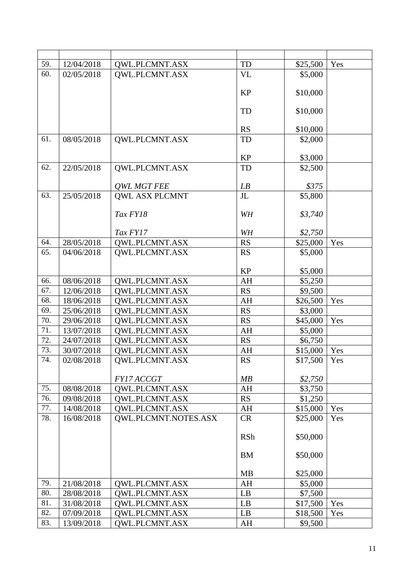| 59. | 12/04/2018               | QWL.PLCMNT.ASX                          | <b>TD</b>      | \$25,500            | Yes |
|-----|--------------------------|-----------------------------------------|----------------|---------------------|-----|
| 60. | 02/05/2018               | QWL.PLCMNT.ASX                          | <b>VL</b>      | \$5,000             |     |
|     |                          |                                         |                |                     |     |
|     |                          |                                         | <b>KP</b>      | \$10,000            |     |
|     |                          |                                         |                |                     |     |
|     |                          |                                         | TD             | \$10,000            |     |
|     |                          |                                         | <b>RS</b>      | \$10,000            |     |
| 61. | 08/05/2018               | QWL.PLCMNT.ASX                          | TD             | \$2,000             |     |
|     |                          |                                         |                |                     |     |
|     |                          |                                         | <b>KP</b>      | \$3,000             |     |
| 62. | 22/05/2018               | QWL.PLCMNT.ASX                          | TD             | \$2,500             |     |
|     |                          |                                         |                |                     |     |
|     |                          | <b>QWL MGT FEE</b>                      | LB             | \$375               |     |
| 63. | 25/05/2018               | <b>QWL ASX PLCMNT</b>                   | J <sub>L</sub> | \$5,800             |     |
|     |                          | Tax FY18                                | WH             | \$3,740             |     |
|     |                          |                                         |                |                     |     |
|     |                          | Tax FY17                                | WH             | \$2,750             |     |
| 64. | 28/05/2018               | <b>QWL.PLCMNT.ASX</b>                   | <b>RS</b>      | \$25,000            | Yes |
| 65. | 04/06/2018               | QWL.PLCMNT.ASX                          | <b>RS</b>      | \$5,000             |     |
|     |                          |                                         |                |                     |     |
|     |                          |                                         | <b>KP</b>      | \$5,000             |     |
| 66. | 08/06/2018               | QWL.PLCMNT.ASX                          | AH             | \$5,250             |     |
| 67. | 12/06/2018               | <b>QWL.PLCMNT.ASX</b>                   | <b>RS</b>      | \$9,500             |     |
| 68. | 18/06/2018               | <b>QWL.PLCMNT.ASX</b>                   | AH             | \$26,500            | Yes |
| 69. | 25/06/2018               | QWL.PLCMNT.ASX                          | <b>RS</b>      | \$3,000             |     |
| 70. | 29/06/2018               | <b>QWL.PLCMNT.ASX</b>                   | <b>RS</b>      | \$45,000            | Yes |
| 71. | 13/07/2018               | QWL.PLCMNT.ASX                          | AH             | \$5,000             |     |
| 72. | 24/07/2018               | <b>OWL.PLCMNT.ASX</b>                   | <b>RS</b>      | \$6,750             |     |
| 73. | 30/07/2018               | <b>QWL.PLCMNT.ASX</b>                   | AH             | \$15,000            | Yes |
| 74. | 02/08/2018               | QWL.PLCMNT.ASX                          | <b>RS</b>      | \$17,500            | Yes |
|     |                          | FY17 ACCGT                              | MB             | \$2,750             |     |
| 75. | 08/08/2018               | <b>OWL.PLCMNT.ASX</b>                   | AH             | \$3,750             |     |
| 76. | 09/08/2018               | QWL.PLCMNT.ASX                          | <b>RS</b>      | \$1,250             |     |
| 77. | 14/08/2018               | QWL.PLCMNT.ASX                          | AH             | \$15,000            | Yes |
| 78. | 16/08/2018               | QWL.PLCMNT.NOTES.ASX                    | <b>CR</b>      | \$25,000            | Yes |
|     |                          |                                         |                |                     |     |
|     |                          |                                         | <b>RSh</b>     | \$50,000            |     |
|     |                          |                                         |                |                     |     |
|     |                          |                                         | <b>BM</b>      | \$50,000            |     |
|     |                          |                                         |                |                     |     |
| 79. |                          |                                         | <b>MB</b>      | \$25,000            |     |
| 80. | 21/08/2018               | <b>OWL.PLCMNT.ASX</b><br>QWL.PLCMNT.ASX | AH             | \$5,000             |     |
| 81. | 28/08/2018<br>31/08/2018 | <b>QWL.PLCMNT.ASX</b>                   | LB<br>LB       | \$7,500<br>\$17,500 | Yes |
| 82. | 07/09/2018               | <b>QWL.PLCMNT.ASX</b>                   | LB             | \$18,500            | Yes |
| 83. | 13/09/2018               | QWL.PLCMNT.ASX                          | AH             | \$9,500             |     |
|     |                          |                                         |                |                     |     |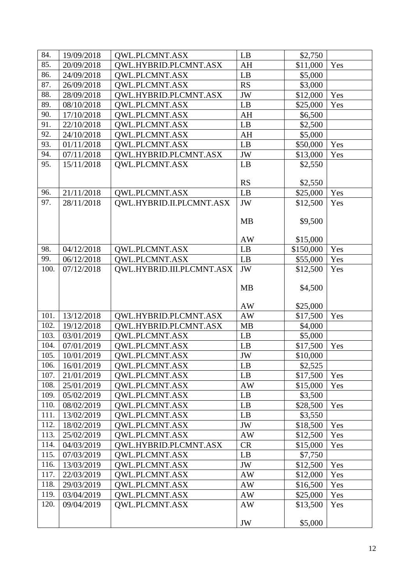| 84.  | 19/09/2018 | <b>OWL.PLCMNT.ASX</b>        | LB                     | \$2,750   |     |
|------|------------|------------------------------|------------------------|-----------|-----|
| 85.  | 20/09/2018 | QWL.HYBRID.PLCMNT.ASX        | AH                     | \$11,000  | Yes |
| 86.  | 24/09/2018 | <b>QWL.PLCMNT.ASX</b>        | $\mathbf{L}\mathbf{B}$ | \$5,000   |     |
| 87.  | 26/09/2018 | <b>OWL.PLCMNT.ASX</b>        | <b>RS</b>              | \$3,000   |     |
| 88.  | 28/09/2018 | OWL.HYBRID.PLCMNT.ASX        | JW                     | \$12,000  | Yes |
| 89.  | 08/10/2018 | QWL.PLCMNT.ASX               | LB                     | \$25,000  | Yes |
| 90.  | 17/10/2018 | QWL.PLCMNT.ASX               | AH                     | \$6,500   |     |
| 91.  | 22/10/2018 | <b>QWL.PLCMNT.ASX</b>        | LB                     | \$2,500   |     |
| 92.  | 24/10/2018 | <b>OWL.PLCMNT.ASX</b>        | AH                     | \$5,000   |     |
| 93.  | 01/11/2018 | <b>QWL.PLCMNT.ASX</b>        | LB                     | \$50,000  | Yes |
| 94.  | 07/11/2018 | QWL.HYBRID.PLCMNT.ASX        | $\rm JW$               | \$13,000  | Yes |
| 95.  | 15/11/2018 | QWL.PLCMNT.ASX               | LB                     | \$2,550   |     |
|      |            |                              |                        |           |     |
|      |            |                              | <b>RS</b>              | \$2,550   |     |
| 96.  | 21/11/2018 | <b>OWL.PLCMNT.ASX</b>        | LB                     | \$25,000  | Yes |
| 97.  | 28/11/2018 | QWL.HYBRID.II.PLCMNT.ASX     | JW                     | \$12,500  | Yes |
|      |            |                              |                        |           |     |
|      |            |                              | <b>MB</b>              | \$9,500   |     |
|      |            |                              | AW                     | \$15,000  |     |
| 98.  | 04/12/2018 | QWL.PLCMNT.ASX               | LB                     | \$150,000 | Yes |
| 99.  | 06/12/2018 | <b>QWL.PLCMNT.ASX</b>        | LB                     | \$55,000  | Yes |
| 100. | 07/12/2018 | QWL.HYBRID.III.PLCMNT.ASX    | JW                     | \$12,500  | Yes |
|      |            |                              |                        |           |     |
|      |            |                              | <b>MB</b>              | \$4,500   |     |
|      |            |                              |                        |           |     |
|      |            |                              |                        |           |     |
|      |            |                              | AW                     | \$25,000  |     |
| 101. | 13/12/2018 | <b>QWL.HYBRID.PLCMNT.ASX</b> | $\mathbf{A}\mathbf{W}$ | \$17,500  | Yes |
| 102. | 19/12/2018 | OWL.HYBRID.PLCMNT.ASX        | <b>MB</b>              | \$4,000   |     |
| 103. | 03/01/2019 | <b>OWL.PLCMNT.ASX</b>        | LB                     | \$5,000   |     |
| 104. | 07/01/2019 | <b>OWL.PLCMNT.ASX</b>        | LB                     | \$17,500  | Yes |
| 105. | 10/01/2019 | <b>OWL.PLCMNT.ASX</b>        | JW                     | \$10,000  |     |
| 106. | 16/01/2019 | <b>OWL.PLCMNT.ASX</b>        | LB                     | \$2,525   |     |
| 107. | 21/01/2019 | QWL.PLCMNT.ASX               | LB                     | \$17,500  | Yes |
| 108. | 25/01/2019 | QWL.PLCMNT.ASX               | AW                     | \$15,000  | Yes |
| 109. | 05/02/2019 | QWL.PLCMNT.ASX               | LB                     | \$3,500   |     |
| 110. | 08/02/2019 | <b>OWL.PLCMNT.ASX</b>        | LB                     | \$28,500  | Yes |
| 111. | 13/02/2019 | QWL.PLCMNT.ASX               | LB                     | \$3,550   |     |
| 112. | 18/02/2019 | <b>OWL.PLCMNT.ASX</b>        | JW                     | \$18,500  | Yes |
| 113. | 25/02/2019 | <b>QWL.PLCMNT.ASX</b>        | AW                     | \$12,500  | Yes |
| 114. | 04/03/2019 | <b>OWL.HYBRID.PLCMNT.ASX</b> | CR                     | \$15,000  | Yes |
| 115. | 07/03/2019 | <b>OWL.PLCMNT.ASX</b>        | LB                     | \$7,750   |     |
| 116. | 13/03/2019 | <b>OWL.PLCMNT.ASX</b>        | JW                     | \$12,500  | Yes |
| 117. | 22/03/2019 | <b>OWL.PLCMNT.ASX</b>        | AW                     | \$12,000  | Yes |
| 118. | 29/03/2019 | <b>OWL.PLCMNT.ASX</b>        | AW                     | \$16,500  | Yes |
| 119. | 03/04/2019 | <b>OWL.PLCMNT.ASX</b>        | AW                     | \$25,000  | Yes |
| 120. | 09/04/2019 | <b>QWL.PLCMNT.ASX</b>        | AW                     | \$13,500  | Yes |
|      |            |                              | JW                     | \$5,000   |     |